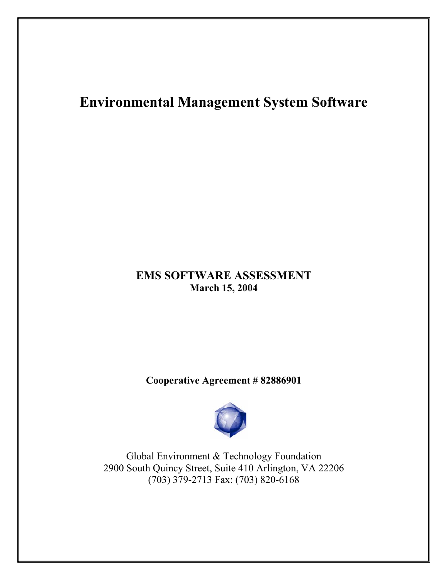# **Environmental Management System Software**

## **EMS SOFTWARE ASSESSMENT March 15, 2004**

## **Cooperative Agreement # 82886901**



Global Environment & Technology Foundation 2900 South Quincy Street, Suite 410 Arlington, VA 22206 (703) 379-2713 Fax: (703) 820-6168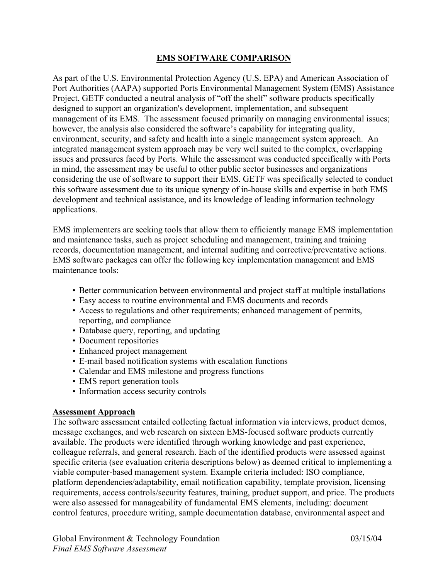### **EMS SOFTWARE COMPARISON**

As part of the U.S. Environmental Protection Agency (U.S. EPA) and American Association of Port Authorities (AAPA) supported Ports Environmental Management System (EMS) Assistance Project, GETF conducted a neutral analysis of "off the shelf" software products specifically designed to support an organization's development, implementation, and subsequent management of its EMS. The assessment focused primarily on managing environmental issues; however, the analysis also considered the software's capability for integrating quality, environment, security, and safety and health into a single management system approach. An integrated management system approach may be very well suited to the complex, overlapping issues and pressures faced by Ports. While the assessment was conducted specifically with Ports in mind, the assessment may be useful to other public sector businesses and organizations considering the use of software to support their EMS. GETF was specifically selected to conduct this software assessment due to its unique synergy of in-house skills and expertise in both EMS development and technical assistance, and its knowledge of leading information technology applications.

EMS implementers are seeking tools that allow them to efficiently manage EMS implementation and maintenance tasks, such as project scheduling and management, training and training records, documentation management, and internal auditing and corrective/preventative actions. EMS software packages can offer the following key implementation management and EMS maintenance tools:

- Better communication between environmental and project staff at multiple installations
- Easy access to routine environmental and EMS documents and records
- Access to regulations and other requirements; enhanced management of permits, reporting, and compliance
- Database query, reporting, and updating
- Document repositories
- Enhanced project management
- E-mail based notification systems with escalation functions
- Calendar and EMS milestone and progress functions
- EMS report generation tools
- Information access security controls

### **Assessment Approach**

The software assessment entailed collecting factual information via interviews, product demos, message exchanges, and web research on sixteen EMS-focused software products currently available. The products were identified through working knowledge and past experience, colleague referrals, and general research. Each of the identified products were assessed against specific criteria (see evaluation criteria descriptions below) as deemed critical to implementing a viable computer-based management system. Example criteria included: ISO compliance, platform dependencies/adaptability, email notification capability, template provision, licensing requirements, access controls/security features, training, product support, and price. The products were also assessed for manageability of fundamental EMS elements, including: document control features, procedure writing, sample documentation database, environmental aspect and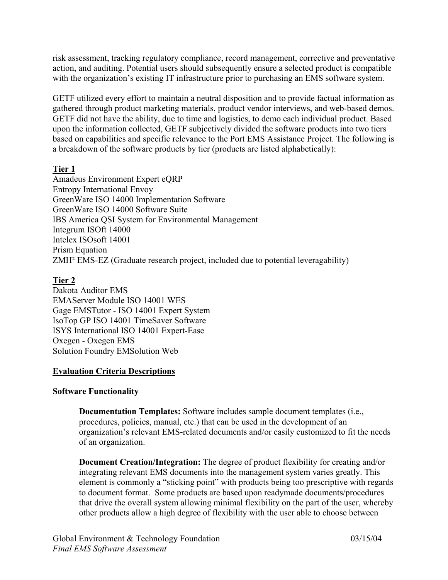risk assessment, tracking regulatory compliance, record management, corrective and preventative action, and auditing. Potential users should subsequently ensure a selected product is compatible with the organization's existing IT infrastructure prior to purchasing an EMS software system.

GETF utilized every effort to maintain a neutral disposition and to provide factual information as gathered through product marketing materials, product vendor interviews, and web-based demos. GETF did not have the ability, due to time and logistics, to demo each individual product. Based upon the information collected, GETF subjectively divided the software products into two tiers based on capabilities and specific relevance to the Port EMS Assistance Project. The following is a breakdown of the software products by tier (products are listed alphabetically):

## **Tier 1**

Amadeus Environment Expert eQRP Entropy International Envoy GreenWare ISO 14000 Implementation Software GreenWare ISO 14000 Software Suite IBS America QSI System for Environmental Management Integrum ISOft 14000 Intelex ISOsoft 14001 Prism Equation ZMH² EMS-EZ (Graduate research project, included due to potential leveragability)

## **Tier 2**

Dakota Auditor EMS EMAServer Module ISO 14001 WES Gage EMSTutor - ISO 14001 Expert System IsoTop GP ISO 14001 TimeSaver Software ISYS International ISO 14001 Expert-Ease Oxegen - Oxegen EMS Solution Foundry EMSolution Web

### **Evaluation Criteria Descriptions**

### **Software Functionality**

**Documentation Templates:** Software includes sample document templates (i.e., procedures, policies, manual, etc.) that can be used in the development of an organization's relevant EMS-related documents and/or easily customized to fit the needs of an organization.

**Document Creation/Integration:** The degree of product flexibility for creating and/or integrating relevant EMS documents into the management system varies greatly. This element is commonly a "sticking point" with products being too prescriptive with regards to document format. Some products are based upon readymade documents/procedures that drive the overall system allowing minimal flexibility on the part of the user, whereby other products allow a high degree of flexibility with the user able to choose between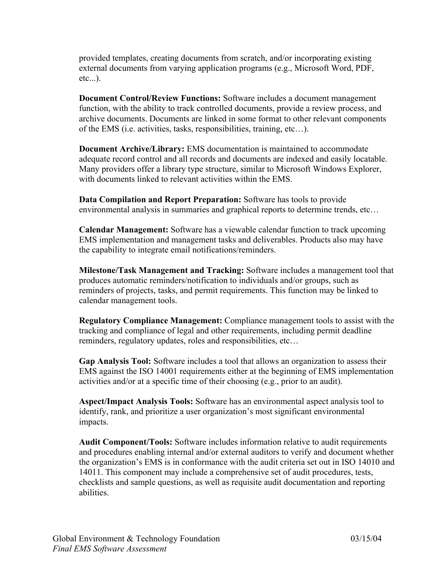provided templates, creating documents from scratch, and/or incorporating existing external documents from varying application programs (e.g., Microsoft Word, PDF, etc...).

**Document Control/Review Functions:** Software includes a document management function, with the ability to track controlled documents, provide a review process, and archive documents. Documents are linked in some format to other relevant components of the EMS (i.e. activities, tasks, responsibilities, training, etc…).

**Document Archive/Library:** EMS documentation is maintained to accommodate adequate record control and all records and documents are indexed and easily locatable. Many providers offer a library type structure, similar to Microsoft Windows Explorer, with documents linked to relevant activities within the EMS.

**Data Compilation and Report Preparation:** Software has tools to provide environmental analysis in summaries and graphical reports to determine trends, etc…

**Calendar Management:** Software has a viewable calendar function to track upcoming EMS implementation and management tasks and deliverables. Products also may have the capability to integrate email notifications/reminders.

**Milestone/Task Management and Tracking:** Software includes a management tool that produces automatic reminders/notification to individuals and/or groups, such as reminders of projects, tasks, and permit requirements. This function may be linked to calendar management tools.

**Regulatory Compliance Management:** Compliance management tools to assist with the tracking and compliance of legal and other requirements, including permit deadline reminders, regulatory updates, roles and responsibilities, etc…

**Gap Analysis Tool:** Software includes a tool that allows an organization to assess their EMS against the ISO 14001 requirements either at the beginning of EMS implementation activities and/or at a specific time of their choosing (e.g., prior to an audit).

**Aspect/Impact Analysis Tools:** Software has an environmental aspect analysis tool to identify, rank, and prioritize a user organization's most significant environmental impacts.

**Audit Component/Tools:** Software includes information relative to audit requirements and procedures enabling internal and/or external auditors to verify and document whether the organization's EMS is in conformance with the audit criteria set out in ISO 14010 and 14011. This component may include a comprehensive set of audit procedures, tests, checklists and sample questions, as well as requisite audit documentation and reporting abilities.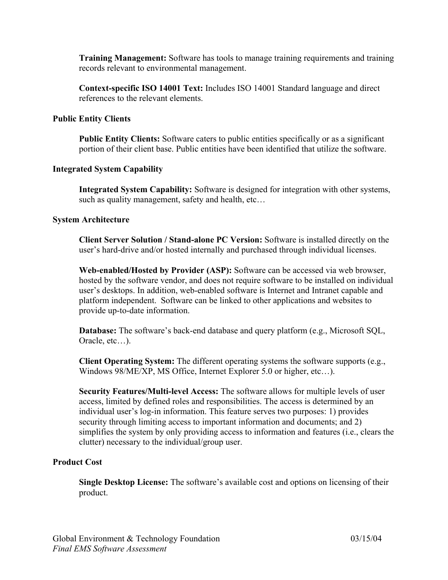**Training Management:** Software has tools to manage training requirements and training records relevant to environmental management.

**Context-specific ISO 14001 Text:** Includes ISO 14001 Standard language and direct references to the relevant elements.

#### **Public Entity Clients**

**Public Entity Clients:** Software caters to public entities specifically or as a significant portion of their client base. Public entities have been identified that utilize the software.

#### **Integrated System Capability**

**Integrated System Capability:** Software is designed for integration with other systems, such as quality management, safety and health, etc…

#### **System Architecture**

**Client Server Solution / Stand-alone PC Version:** Software is installed directly on the user's hard-drive and/or hosted internally and purchased through individual licenses.

**Web-enabled/Hosted by Provider (ASP):** Software can be accessed via web browser, hosted by the software vendor, and does not require software to be installed on individual user's desktops. In addition, web-enabled software is Internet and Intranet capable and platform independent. Software can be linked to other applications and websites to provide up-to-date information.

**Database:** The software's back-end database and query platform (e.g., Microsoft SQL, Oracle, etc…).

**Client Operating System:** The different operating systems the software supports (e.g., Windows 98/ME/XP, MS Office, Internet Explorer 5.0 or higher, etc…).

**Security Features/Multi-level Access:** The software allows for multiple levels of user access, limited by defined roles and responsibilities. The access is determined by an individual user's log-in information. This feature serves two purposes: 1) provides security through limiting access to important information and documents; and 2) simplifies the system by only providing access to information and features (i.e., clears the clutter) necessary to the individual/group user.

#### **Product Cost**

**Single Desktop License:** The software's available cost and options on licensing of their product.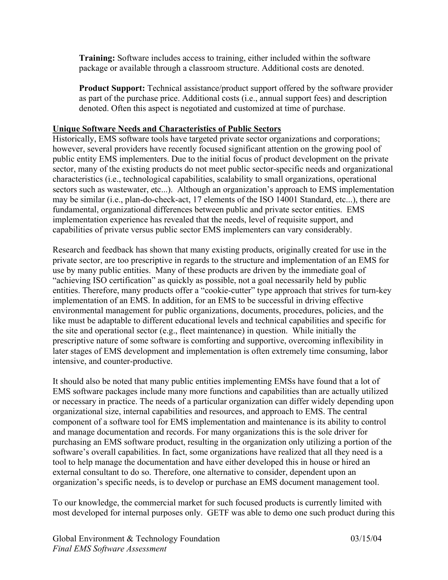**Training:** Software includes access to training, either included within the software package or available through a classroom structure. Additional costs are denoted.

**Product Support:** Technical assistance/product support offered by the software provider as part of the purchase price. Additional costs (i.e., annual support fees) and description denoted. Often this aspect is negotiated and customized at time of purchase.

### **Unique Software Needs and Characteristics of Public Sectors**

Historically, EMS software tools have targeted private sector organizations and corporations; however, several providers have recently focused significant attention on the growing pool of public entity EMS implementers. Due to the initial focus of product development on the private sector, many of the existing products do not meet public sector-specific needs and organizational characteristics (i.e., technological capabilities, scalability to small organizations, operational sectors such as wastewater, etc...). Although an organization's approach to EMS implementation may be similar (i.e., plan-do-check-act, 17 elements of the ISO 14001 Standard, etc...), there are fundamental, organizational differences between public and private sector entities. EMS implementation experience has revealed that the needs, level of requisite support, and capabilities of private versus public sector EMS implementers can vary considerably.

Research and feedback has shown that many existing products, originally created for use in the private sector, are too prescriptive in regards to the structure and implementation of an EMS for use by many public entities. Many of these products are driven by the immediate goal of "achieving ISO certification" as quickly as possible, not a goal necessarily held by public entities. Therefore, many products offer a "cookie-cutter" type approach that strives for turn-key implementation of an EMS. In addition, for an EMS to be successful in driving effective environmental management for public organizations, documents, procedures, policies, and the like must be adaptable to different educational levels and technical capabilities and specific for the site and operational sector (e.g., fleet maintenance) in question. While initially the prescriptive nature of some software is comforting and supportive, overcoming inflexibility in later stages of EMS development and implementation is often extremely time consuming, labor intensive, and counter-productive.

It should also be noted that many public entities implementing EMSs have found that a lot of EMS software packages include many more functions and capabilities than are actually utilized or necessary in practice. The needs of a particular organization can differ widely depending upon organizational size, internal capabilities and resources, and approach to EMS. The central component of a software tool for EMS implementation and maintenance is its ability to control and manage documentation and records. For many organizations this is the sole driver for purchasing an EMS software product, resulting in the organization only utilizing a portion of the software's overall capabilities. In fact, some organizations have realized that all they need is a tool to help manage the documentation and have either developed this in house or hired an external consultant to do so. Therefore, one alternative to consider, dependent upon an organization's specific needs, is to develop or purchase an EMS document management tool.

To our knowledge, the commercial market for such focused products is currently limited with most developed for internal purposes only. GETF was able to demo one such product during this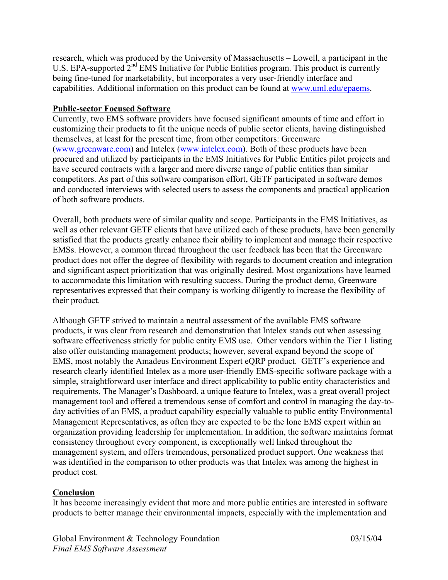research, which was produced by the University of Massachusetts – Lowell, a participant in the U.S. EPA-supported 2<sup>nd</sup> EMS Initiative for Public Entities program. This product is currently being fine-tuned for marketability, but incorporates a very user-friendly interface and capabilities. Additional information on this product can be found at www.uml.edu/epaems.

#### **Public-sector Focused Software**

Currently, two EMS software providers have focused significant amounts of time and effort in customizing their products to fit the unique needs of public sector clients, having distinguished themselves, at least for the present time, from other competitors: Greenware (www.greenware.com) and Intelex (www.intelex.com). Both of these products have been procured and utilized by participants in the EMS Initiatives for Public Entities pilot projects and have secured contracts with a larger and more diverse range of public entities than similar competitors. As part of this software comparison effort, GETF participated in software demos and conducted interviews with selected users to assess the components and practical application of both software products.

Overall, both products were of similar quality and scope. Participants in the EMS Initiatives, as well as other relevant GETF clients that have utilized each of these products, have been generally satisfied that the products greatly enhance their ability to implement and manage their respective EMSs. However, a common thread throughout the user feedback has been that the Greenware product does not offer the degree of flexibility with regards to document creation and integration and significant aspect prioritization that was originally desired. Most organizations have learned to accommodate this limitation with resulting success. During the product demo, Greenware representatives expressed that their company is working diligently to increase the flexibility of their product.

Although GETF strived to maintain a neutral assessment of the available EMS software products, it was clear from research and demonstration that Intelex stands out when assessing software effectiveness strictly for public entity EMS use. Other vendors within the Tier 1 listing also offer outstanding management products; however, several expand beyond the scope of EMS, most notably the Amadeus Environment Expert eQRP product. GETF's experience and research clearly identified Intelex as a more user-friendly EMS-specific software package with a simple, straightforward user interface and direct applicability to public entity characteristics and requirements. The Manager's Dashboard, a unique feature to Intelex, was a great overall project management tool and offered a tremendous sense of comfort and control in managing the day-today activities of an EMS, a product capability especially valuable to public entity Environmental Management Representatives, as often they are expected to be the lone EMS expert within an organization providing leadership for implementation. In addition, the software maintains format consistency throughout every component, is exceptionally well linked throughout the management system, and offers tremendous, personalized product support. One weakness that was identified in the comparison to other products was that Intelex was among the highest in product cost.

### **Conclusion**

It has become increasingly evident that more and more public entities are interested in software products to better manage their environmental impacts, especially with the implementation and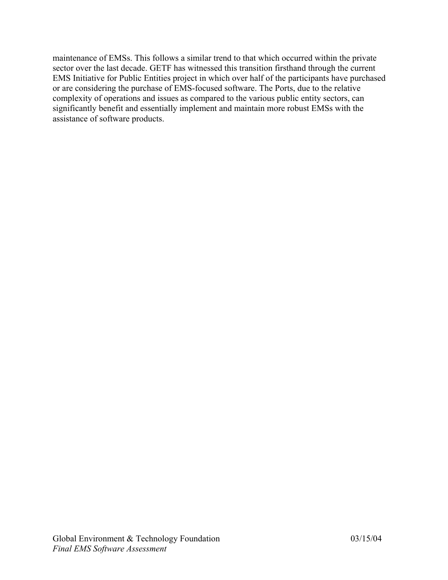maintenance of EMSs. This follows a similar trend to that which occurred within the private sector over the last decade. GETF has witnessed this transition firsthand through the current EMS Initiative for Public Entities project in which over half of the participants have purchased or are considering the purchase of EMS-focused software. The Ports, due to the relative complexity of operations and issues as compared to the various public entity sectors, can significantly benefit and essentially implement and maintain more robust EMSs with the assistance of software products.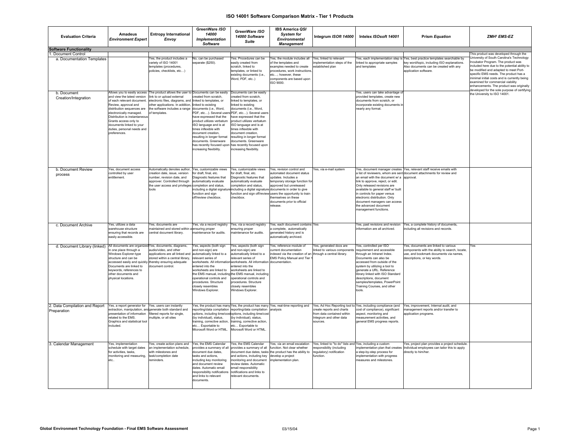| <b>Evaluation Criteria</b>                                                         | Amadeus<br><b>Environment Expert</b>                                                                                                                                                                                                                                          | <b>Entropy International</b><br>Envoy                                                                                                                                                                                                                                                                       | GreenWare ISO<br>14000<br><b>Implementation</b><br>Software                                                                                                                                                                                                                                              | GreenWare ISO<br>14000 Software<br><b>Suite</b>                                                                                                                                                                                                                                                                                                                                                                            | <b>IBS America QSI</b><br><b>System for</b><br><b>Environmental</b><br><b>Management</b>                                                                                                                                                                                                                                               | Integrum ISOft 14000                                                                                                       | Intelex ISOsoft 14001                                                                                                                                                                                                                                                                                                                             | <b>Prism Equation</b>                                                                                                                                                                         | ZMH <sup>2</sup> EMS-EZ                                                                                                                                                                                                                                                                                                                                                                           |
|------------------------------------------------------------------------------------|-------------------------------------------------------------------------------------------------------------------------------------------------------------------------------------------------------------------------------------------------------------------------------|-------------------------------------------------------------------------------------------------------------------------------------------------------------------------------------------------------------------------------------------------------------------------------------------------------------|----------------------------------------------------------------------------------------------------------------------------------------------------------------------------------------------------------------------------------------------------------------------------------------------------------|----------------------------------------------------------------------------------------------------------------------------------------------------------------------------------------------------------------------------------------------------------------------------------------------------------------------------------------------------------------------------------------------------------------------------|----------------------------------------------------------------------------------------------------------------------------------------------------------------------------------------------------------------------------------------------------------------------------------------------------------------------------------------|----------------------------------------------------------------------------------------------------------------------------|---------------------------------------------------------------------------------------------------------------------------------------------------------------------------------------------------------------------------------------------------------------------------------------------------------------------------------------------------|-----------------------------------------------------------------------------------------------------------------------------------------------------------------------------------------------|---------------------------------------------------------------------------------------------------------------------------------------------------------------------------------------------------------------------------------------------------------------------------------------------------------------------------------------------------------------------------------------------------|
| <b>Software Functionality</b>                                                      |                                                                                                                                                                                                                                                                               |                                                                                                                                                                                                                                                                                                             |                                                                                                                                                                                                                                                                                                          |                                                                                                                                                                                                                                                                                                                                                                                                                            |                                                                                                                                                                                                                                                                                                                                        |                                                                                                                            |                                                                                                                                                                                                                                                                                                                                                   |                                                                                                                                                                                               | This product was developed through the                                                                                                                                                                                                                                                                                                                                                            |
| Document Control<br>a. Documentation Templates                                     |                                                                                                                                                                                                                                                                               | Yes, the product includes a<br>variety of ISO 14001<br>templates (procedures<br>policies, checklists, etc)                                                                                                                                                                                                  | No, can be purchased<br>separate (\$250).                                                                                                                                                                                                                                                                | Yes. Procedures can be<br>easily created from<br>scratch, linked to<br>templates, or linked to<br>existing documents (i.e.,<br>Word, PDF, etc)                                                                                                                                                                                                                                                                             | Yes, the module includes all<br>of the templates and<br>examples needed to create<br>procedures, work instructions<br>etc; however, these<br>components are based upon<br>ISO 9000                                                                                                                                                     | Yes, linked to relevant<br>nplementation steps of the<br>stablished plan                                                   | linked to appropriate samples<br>and templates                                                                                                                                                                                                                                                                                                    | Yes, each implementation step is Yes, best practice templates searchable by<br>key word/topic, including ISO explanations.<br>Also documents can be created with any<br>application software. | Jniversity of South Carolina's Technology<br>ncubator Program. The product was<br>ncluded here due to the potential ability to<br>be modified and adapted to meet Port-<br>specific FMS needs. The product has a<br>minimal initial costs and is currently being<br>examined for commercial viability<br>enhancements. The product was originally<br>leveloped for the sole purpose of certifying |
| b. Document<br>Creation/Integration                                                | and view the latest version<br>of each relevant document.<br>Review, approval and<br>distribution sequences are<br>electronically managed.<br>Distribution is instantaneou<br>Grants access only to<br>documents linked to your<br>duties, personal needs and<br>preferences. | Allows you to easily access The product allows the user to Documents can be easily<br>link to or upload external<br>electronic files, diagrams, and linked to templates, or<br>other applications. In addition, linked to existing<br>the software includes a range documents (i.e., Word,<br>of templates. | created from scratch,<br>have expressed that the<br>product utilizes verbatum<br>ISO language and is at<br>imes inflexible with<br>document creation,<br>resulting in longer format<br>documents, Greenware<br>has recently focused upon<br>increasing flexibility.                                      | Documents can be easily<br>created from scratch,<br>linked to templates, or<br>nked to existing<br>documents (i.e., Word,<br>PDF, etc). Several users PDF, etc). Several users<br>ave expressed that the<br>product utilizes verbatum<br>ISO language and is at<br>mes inflexible with<br>document creation,<br>resulting in longer format<br>documents. Greenware<br>has recently focused upon<br>increasing flexibility. |                                                                                                                                                                                                                                                                                                                                        |                                                                                                                            | Yes, users can take advantage of<br>provided templates, create new<br>documents from scratch, or<br>incorporate existing documents i<br>nearly any format.                                                                                                                                                                                        |                                                                                                                                                                                               | the University to ISO 14001.                                                                                                                                                                                                                                                                                                                                                                      |
| b. Document Review<br>process                                                      | Yes, document access<br>controlled by user<br>ntitlement                                                                                                                                                                                                                      | Automatically denotes author, Yes, customizable views<br>creation date, issue, version<br>number, revision date, and<br>approver. Controlled through<br>the user access and privileges<br>tools                                                                                                             | for draft, final, etc.<br>Diagnostic features that<br>automatically evaluate<br>completion and status.<br>ncluding a digital signatur<br>function and sign<br>off/review checkbox.                                                                                                                       | Yes, customizable views<br>for draft, final, etc.<br>Diagnostic features that<br>automatically evaluate<br>completion and status,<br>checkbox.                                                                                                                                                                                                                                                                             | Yes, revision control and<br>automated document status<br>ipdates. Includes a<br>temporary storage function for<br>approved but unreleased<br>including a digital signature documents in order to give<br>function and sign off/review users the opportunity to train<br>themselves on these<br>documents prior to official<br>release | Yes, via e-mail system                                                                                                     | an email with the document w/ a<br>link to approve, reject, or edit.<br>Only released revisions are<br>available to general staff w/ built<br>in controls for paper versus<br>electronic distribution. Only<br>document managers can access<br>the advanced document<br>management functions.                                                     | Yes, document manager creates Yes, relevant staff receive emails with<br>a list of reviewers, whom are sent document attachments for review and<br>approval.                                  |                                                                                                                                                                                                                                                                                                                                                                                                   |
| c. Document Archive                                                                | Yes, utilizes a data<br>warehouse structure<br>ensuring that records are<br>easily accessible.                                                                                                                                                                                | Yes, documents are<br>maintained and stored within alensuring proper<br>central document library.                                                                                                                                                                                                           | Yes, via a record registry<br>naintenance for audits.                                                                                                                                                                                                                                                    | Yes, via a record registry<br>nsuring proper<br>aintenance for audits                                                                                                                                                                                                                                                                                                                                                      | Yes, each document contains Yes<br>a complete, automatically<br>generated history and is<br>utomatically archived.                                                                                                                                                                                                                     |                                                                                                                            | Yes, past revisions and revision<br>information are all archived                                                                                                                                                                                                                                                                                  | Yes, a complete history of documents,<br>including all revisions and records.                                                                                                                 |                                                                                                                                                                                                                                                                                                                                                                                                   |
| d. Document Library (linked) All documents are organized Yes, documents, diagrams, | one place through a<br>Windows Explorer-type<br>structure and can be<br>Documents are linked to<br>keywords, references to<br>ther documents and<br>physical locations.                                                                                                       | audio/video, and other<br>applications are all linked and<br>stored within a central library.<br>accessed easily and quickly. thereby ensuring adequate<br>document control                                                                                                                                 | Yes, aspects (both sign<br>and non-sign) are<br>automatically linked to a<br>elevant series of<br>worksheets. All informatio<br>entered into the<br>worksheets are linked to<br>the EMS manual, including<br>operational controls and<br>procedures. Structure<br>closely resembles<br>Windows Explorer. | Yes, aspects (both sign<br>nd non-sign) are<br>automatically linked to a<br>elevant series of<br>worksheets. All information<br>ntered into the<br>worksheets are linked to<br>the EMS manual, including<br>operational controls and<br>procedures. Structure<br>closely resembles<br>Windows Explorer.                                                                                                                    | Yes, reference module of<br>current documentation<br>indexed via the creation of an through a central library.<br><b>EMS Policy Manual and Tier</b><br>documentation.                                                                                                                                                                  | Yes, generated docs are<br>inked to various components                                                                     | Yes, controlled per ISO<br>requirement and accessible<br>through an Intranet Index.<br>Documents can also be<br>accessed from outside of the<br>system by utilizing a tool to<br>generate a URL. Reference<br>library linked with ISO Standard<br>descriptions, document<br>samples/templates, PowerPoint<br>Training Courses, and other<br>tools | Yes, documents are linked to various<br>components with the ability to search, locate,<br>use, and bookmark documents via names.<br>descriptions, or key words.                               | Yes                                                                                                                                                                                                                                                                                                                                                                                               |
| 2. Data Compilation and Report<br>Preparation                                      | Yes, a report generator for Yes, users can instantly<br>presentation of information<br>elated to the EMS.<br>Graphics and statistical tool<br>ncluded.                                                                                                                        | extraction, manipulation, and generate both standard and<br>filtered reports for single,<br>nultiple, or all sites                                                                                                                                                                                          | reporting/data compilation<br>(by individual), status,<br>training, corrective action,<br>etc Exportable to<br>Microsoft Word or HTML.                                                                                                                                                                   | reporting/data compilation analysis<br>options, including time/cost options, including time/cost<br>(by individual), status,<br>training, corrective action<br>etc Exportable to<br>Microsoft Word or HTML                                                                                                                                                                                                                 |                                                                                                                                                                                                                                                                                                                                        | create reports and charts<br>from data contained within<br>ntegrum and other data<br>sources                               | Yes, the product has many Yes, the product has many Yes, real-time reporting and Yes, Ad Hoc Reporting tool to Yes, including compliance (and<br>cost of compliance), significant<br>aspect, monitoring and<br>measurement activities, and<br>general EMS progress reports.                                                                       | Yes, improvement, Internal audit, and<br>nanagement reports and/or transfer to<br>application programs.                                                                                       |                                                                                                                                                                                                                                                                                                                                                                                                   |
| 3. Calendar Management                                                             | Yes, implementation<br>schedule with target dates<br>or activities, tasks<br>monitoring and measuring,<br>etc.                                                                                                                                                                | Yes, create action plans and Yes, the EMS Calendar<br>an implementation schedule,<br>with milestones and<br>task/completion date<br>eminders.                                                                                                                                                               | provides a summary of all<br>document due dates.<br>tasks and actions.<br>including key monitoring<br>and document review<br>dates. Automatic email<br>responsibility notifications<br>and links to relevant<br>documents                                                                                | Yes, the EMS Calendar<br>provides a summary of all<br>and actions, including key<br>monitoring and document<br>eview dates. Automatic<br>mail responsibility<br>notifications and links to<br>relevant documents.                                                                                                                                                                                                          | Yes, via an email escalation<br>function. Not clear whether<br>document due dates, tasks the product has the ability to<br>develop a project<br>mplementation plan                                                                                                                                                                     | Yes, linked to "to do" lists and Yes, including a custom<br>esponsibility (including<br>equlatory) notification<br>unction | implementation plan that creates<br>a step-by-step process for<br>implementation with progress<br>measures and milestones.                                                                                                                                                                                                                        | Yes, project plan provides a project schedule.<br>Individual employees can tailor this to apply<br>directly to him/her.                                                                       |                                                                                                                                                                                                                                                                                                                                                                                                   |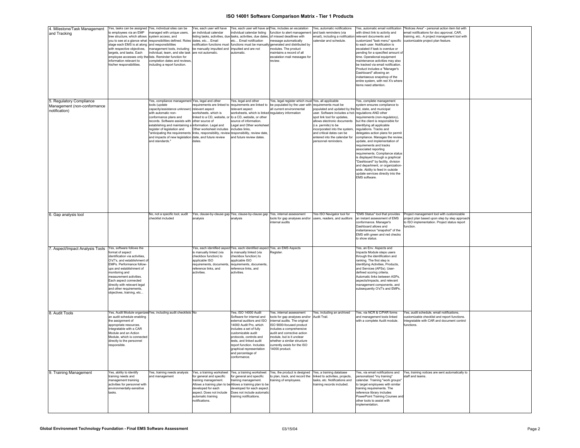| 4. Milestone/Task Management<br>and Tracking                             | Yes, tasks can be assigned Yes, individual sites can be<br>to employees via an EMP<br>tree structure, which allows svstem access, and<br>stage each EMS is at along and responsibilities<br>with respective objectives.<br>targets, and tasks. Each<br>employee accesses only the lists. Reminder function for<br>information relevant to<br>his/her responsibilities. | managed with unique users,<br>you to see at a glance what responsibilities defined. Roles<br>management tools, including<br>individual, team, and site task<br>completion dates and reviews,<br>including a report function.                                                                                                                                                                                                                 | Yes, each user will have<br>lan individual calendar<br>dates, etc Email<br>notification functions must<br>be manually imputted and<br>are not automatic.                            | individual calendar listing<br>isting tasks, activities, due tasks, activities, due dates, of missed deadlines with<br>etc Email notification<br>imputted and are not<br>automatic.                                                                                                                           | Yes, each user will have an Yes, includes an escalation<br>function to alert management and task reminders (via<br>message automatically<br>functions must be manually generated and distributed by<br>modules. The product<br>maintains a record of all<br>escalation mail messages for<br>review. | Yes, automatic notifications<br>email), including a notification relevant documents and<br>calendar and schedule.                                                                                                                                                                                                           | with direct link to activity and<br>to each user. Notification is<br>escalated if task is overdue or<br>pending for a specified amount of<br>time. Operational equipment<br>maintenance activities may also<br>be tracked via email notification.<br>Product includes a "Manager's<br>Dashboard" allowing an<br>instantaeous snapshop of the<br>entire system, with red X's where<br>items need attention.                                                                                                                                                                                    | Yes, automatic email notification  "Notices Area" - personal action item list with<br>email notifications for doc approval, CAR,<br>training, etc A project management tool with<br>customized "task menu" specific customizable project plan feature. |
|--------------------------------------------------------------------------|------------------------------------------------------------------------------------------------------------------------------------------------------------------------------------------------------------------------------------------------------------------------------------------------------------------------------------------------------------------------|----------------------------------------------------------------------------------------------------------------------------------------------------------------------------------------------------------------------------------------------------------------------------------------------------------------------------------------------------------------------------------------------------------------------------------------------|-------------------------------------------------------------------------------------------------------------------------------------------------------------------------------------|---------------------------------------------------------------------------------------------------------------------------------------------------------------------------------------------------------------------------------------------------------------------------------------------------------------|-----------------------------------------------------------------------------------------------------------------------------------------------------------------------------------------------------------------------------------------------------------------------------------------------------|-----------------------------------------------------------------------------------------------------------------------------------------------------------------------------------------------------------------------------------------------------------------------------------------------------------------------------|-----------------------------------------------------------------------------------------------------------------------------------------------------------------------------------------------------------------------------------------------------------------------------------------------------------------------------------------------------------------------------------------------------------------------------------------------------------------------------------------------------------------------------------------------------------------------------------------------|--------------------------------------------------------------------------------------------------------------------------------------------------------------------------------------------------------------------------------------------------------|
| 5. Regulatory Compliance<br>Management (non-conformance<br>notification) |                                                                                                                                                                                                                                                                                                                                                                        | Yes, compliance management Yes, legal and other<br>tools (update<br>capacity/assistance unknown)<br>with automatic non-<br>conformance plans and<br>records. Software assists with other source of<br>establishing and maintaining a information. Legal and<br>register of legislation and<br>'anticipating the requirements links, responsibility, review responsibility, review date,<br>and impacts of new legislation<br>and standards." | equirements are linked to<br>relevant aspect<br>vorksheets, which is<br>linked to a CD, website, or<br>Other worksheet includes includes links,<br>date, and future review<br>dates | Yes, legal and other<br>requirements are linked to<br>relevant aspect<br>worksheets, which is linked regulatory information<br>to a CD, website, or other<br>source of information.<br>Legal and Other worksheet<br>and future review dates.                                                                  | Yes, legal register which must Yes, all applicable<br>be populated by the user with requirements must be<br>all current environmental                                                                                                                                                               | populated and updated by the fed, state, and municipal<br>user. Software includes a hot- regulations AND other<br>spot link tool for updates,<br>allows electronic documents<br>(i.e. permits) to be<br>incorporated into the system,<br>and critical dates can be<br>entered into the calendar for<br>personnel reminders. | Yes, complete management<br>system ensures compliance to<br>requirements (non-regulatory),<br>but the client is responsible for<br>identifying all applicable<br>regulations. Tracks and<br>delegates action plans for permit<br>compliance. Manages the review<br>update, and implementation of<br>requirements and tracks<br>associated reporting<br>requirements. Compliance status<br>is displayed through a graphical<br>"Dashboard" by facility, division<br>and department, or organization-<br>wide. Ability to feed in outside<br>update services directly into the<br>EMS software. |                                                                                                                                                                                                                                                        |
| 6. Gap analysis tool                                                     |                                                                                                                                                                                                                                                                                                                                                                        | No, not a specific tool, audit<br>checklist included                                                                                                                                                                                                                                                                                                                                                                                         | analysis                                                                                                                                                                            | Yes, clause-by-clause gap Yes, clause-by-clause gap Yes, internal assessment<br>analysis                                                                                                                                                                                                                      | tools for gap analyses and/or users, readers, and auditors<br>internal audits                                                                                                                                                                                                                       | res ISO Navigator tool for                                                                                                                                                                                                                                                                                                  | "EMS Status" tool that provides<br>an instant assessment of EMS<br>conformance, Manager's<br>Dashboard allows and<br>instantaneous "snapshot" of the<br>EMS with green and red checks<br>to show status.                                                                                                                                                                                                                                                                                                                                                                                      | Project management tool with customizable<br>project plan based upon step by step approacl<br>to ISO implementation. Project status report<br>function                                                                                                 |
| 7. Aspect/Impact Analysis Tools                                          | Yes, software follows the<br>ormat of aspect<br>identification via activities.<br>O'sT's, and establishment of<br>EMPs. Performance follow-<br>ups and establishment of<br>monitoring and<br>measurement activities.<br>Each aspect connected<br>directly with relevant legal<br>and other requirements,<br>objectives, training, etc                                  |                                                                                                                                                                                                                                                                                                                                                                                                                                              | is manually linked (via<br>checkbox function) to<br>applicable ISO<br>requirements, documents<br>reference links, and<br>activities.                                                | Yes, each identified aspect Yes, each identified aspect Yes, an EMS Aspects<br>is manually linked (via<br>checkbox function) to<br>applicable ISO<br>requirements, documents,<br>reference links, and<br>activities.                                                                                          | Register.                                                                                                                                                                                                                                                                                           |                                                                                                                                                                                                                                                                                                                             | Yes, an Env. Aspects and<br>Impacts Module steps users<br>through the identification and<br>ranking. The first step is<br>identifying Activities, Products,<br>and Services (APSs). User-<br>defined scoring criteria.<br>Automatic links between ASPs,<br>aspects/impacts, and relevant<br>management components, and<br>subsequently O'sT's and EMPs.                                                                                                                                                                                                                                       |                                                                                                                                                                                                                                                        |
| 8. Audit Tools                                                           | an audit schedule enabling<br>the assignment of<br>appropriate resources.<br>Integratable with a CAR<br>Module and an Action<br>Module, which is connected<br>directly to the personnel<br>responsible.                                                                                                                                                                | Yes, Audit Module organizes Yes, including audit checklists No                                                                                                                                                                                                                                                                                                                                                                               |                                                                                                                                                                                     | Yes, ISO 14000 Audit<br>Software for internal and<br>external auditors and ISO<br>14000 Audit Pro, which<br>includes a set of fully<br>customizable audit<br>protocols, controls and<br>tests, and linked audit<br>report function. Includes<br>graphical representation<br>ind percentage of<br>conformance. | Yes, internal assessment<br>tools for gap analyses and/or<br>internal audits. The original<br>ISO 9000-focused product<br>includes a comprehensive<br>audit and corrective action<br>module, but is it unclear<br>whether a similar structure<br>currently exists for the ISO<br>14000 product.     | Yes, including an archived<br>Audit Trail.                                                                                                                                                                                                                                                                                  | Yes, via NCR & C/PAR forms<br>and management tools linked<br>with a complete Audit module.                                                                                                                                                                                                                                                                                                                                                                                                                                                                                                    | Yes, audit schedule, email notifications,<br>customizable checklist and report functions.<br>ntegratable with CAR and document control<br>functions.                                                                                                   |
| 9. Training Management                                                   | Yes, ability to identify<br>training needs and<br>management traininig<br>activities for personnel with<br>environmentally-sensitive<br>tasks.                                                                                                                                                                                                                         | Yes, training needs analysis<br>and management                                                                                                                                                                                                                                                                                                                                                                                               | for general and specific<br>training management.<br>developed for each<br>aspect. Does not include<br>automatic training<br>notifications.                                          | for general and specific<br>training management.<br>Allows a training plan to be Allows a training plan to be<br>developed for each aspect.<br>Does not include automatic<br>training notifications.                                                                                                          | Yes, a training worksheet Yes, a training worksheet Yes, the product is designed Yes, a training database<br>to plan, track, and record the linked to activities, projects,<br>training of employees.                                                                                               | tasks, etc. Notifications and<br>training records included.                                                                                                                                                                                                                                                                 | Yes, via email notifications and<br>personalized "my training"<br>calendar. Training "work groups"<br>to target employees with similar<br>training requirements. The<br>reference library includes<br>PowerPoint Training Courses and<br>other tools to assist with<br>implementation.                                                                                                                                                                                                                                                                                                        | Yes, training notices are sent automatically to<br>staff and teams.                                                                                                                                                                                    |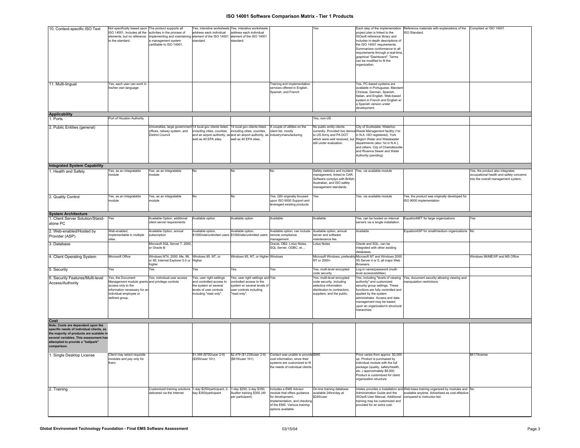| 10. Context-specific ISO Text            | Not specifically based upon The product supports all     |                                                                                     |                             | Yes, interative worksheets Yes, interative worksheets                            |                                                    | Yes                                                      |                                                               | Each step of the implementation Reference materials with explanations of the Compliant w/ ISO 14001 |                                         |
|------------------------------------------|----------------------------------------------------------|-------------------------------------------------------------------------------------|-----------------------------|----------------------------------------------------------------------------------|----------------------------------------------------|----------------------------------------------------------|---------------------------------------------------------------|-----------------------------------------------------------------------------------------------------|-----------------------------------------|
|                                          | ISO 14001. Includes all the activities in the process of |                                                                                     | address each individual     | address each individual                                                          |                                                    |                                                          | project plan is linked to the                                 | ISO Standard.                                                                                       |                                         |
|                                          | elements, but no reference                               | implementing and maintaining element of the ISO 14001                               |                             | element of the ISO 14001                                                         |                                                    |                                                          | ISOsoft reference library and                                 |                                                                                                     |                                         |
|                                          | to the standard.                                         | a management system                                                                 | standard.                   | standard.                                                                        |                                                    |                                                          | includes in-depth descriptions of                             |                                                                                                     |                                         |
|                                          |                                                          | certifiable to ISO 14001.                                                           |                             |                                                                                  |                                                    |                                                          | the ISO 14001 requirements.                                   |                                                                                                     |                                         |
|                                          |                                                          |                                                                                     |                             |                                                                                  |                                                    |                                                          | Summarizes conformance to all                                 |                                                                                                     |                                         |
|                                          |                                                          |                                                                                     |                             |                                                                                  |                                                    |                                                          | requirements through a real-time                              |                                                                                                     |                                         |
|                                          |                                                          |                                                                                     |                             |                                                                                  |                                                    |                                                          | graphical "Dashboard". Terms                                  |                                                                                                     |                                         |
|                                          |                                                          |                                                                                     |                             |                                                                                  |                                                    |                                                          |                                                               |                                                                                                     |                                         |
|                                          |                                                          |                                                                                     |                             |                                                                                  |                                                    |                                                          | can be modified to fit the                                    |                                                                                                     |                                         |
|                                          |                                                          |                                                                                     |                             |                                                                                  |                                                    |                                                          | organization.                                                 |                                                                                                     |                                         |
|                                          |                                                          |                                                                                     |                             |                                                                                  |                                                    |                                                          |                                                               |                                                                                                     |                                         |
|                                          |                                                          |                                                                                     |                             |                                                                                  |                                                    |                                                          |                                                               |                                                                                                     |                                         |
|                                          |                                                          |                                                                                     |                             |                                                                                  |                                                    |                                                          |                                                               |                                                                                                     |                                         |
|                                          |                                                          |                                                                                     |                             |                                                                                  |                                                    |                                                          |                                                               |                                                                                                     |                                         |
| 11. Multi-lingual                        | Yes, each user can work in                               |                                                                                     |                             |                                                                                  | Training and implementation                        |                                                          | Yes, PC-based systems are                                     |                                                                                                     |                                         |
|                                          | his/her own language                                     |                                                                                     |                             |                                                                                  | services offered in English,                       |                                                          | available in Portuguese, Mandar                               |                                                                                                     |                                         |
|                                          |                                                          |                                                                                     |                             |                                                                                  | Spanish, and French                                |                                                          | Chinese, German, Spanish,                                     |                                                                                                     |                                         |
|                                          |                                                          |                                                                                     |                             |                                                                                  |                                                    |                                                          | Italian, and English. Web-based                               |                                                                                                     |                                         |
|                                          |                                                          |                                                                                     |                             |                                                                                  |                                                    |                                                          |                                                               |                                                                                                     |                                         |
|                                          |                                                          |                                                                                     |                             |                                                                                  |                                                    |                                                          | system in French and English w/                               |                                                                                                     |                                         |
|                                          |                                                          |                                                                                     |                             |                                                                                  |                                                    |                                                          | a Spanish version under                                       |                                                                                                     |                                         |
|                                          |                                                          |                                                                                     |                             |                                                                                  |                                                    |                                                          | development.                                                  |                                                                                                     |                                         |
| <b>Applicability</b>                     |                                                          |                                                                                     |                             |                                                                                  |                                                    |                                                          |                                                               |                                                                                                     |                                         |
|                                          | Port of Houston Authority                                |                                                                                     |                             |                                                                                  |                                                    |                                                          |                                                               |                                                                                                     |                                         |
| 1. Ports                                 |                                                          |                                                                                     |                             |                                                                                  |                                                    | es, non-US                                               |                                                               |                                                                                                     |                                         |
|                                          |                                                          |                                                                                     |                             |                                                                                  |                                                    |                                                          |                                                               |                                                                                                     |                                         |
| 2. Public Entities (general)             |                                                          | Universities, large government 14 local gov clients listed,                         |                             | 14 local gov clients listed,                                                     | A couple of utilities on the                       | No public entity clients                                 | City of Scottsdale, Waterloo                                  |                                                                                                     |                                         |
|                                          |                                                          | offices, railway system, and                                                        | ncluding cities, counties,  | including cities, counties,                                                      | client list, mostly                                |                                                          | currently. Provided live demos Waste Management facility (1st |                                                                                                     |                                         |
|                                          |                                                          | <b>District Council</b>                                                             |                             | and an airport authority, as and an airport authority, as industry/manufacturing |                                                    | o US Army and PA DOT                                     | in N.A. ISO registered), York                                 |                                                                                                     |                                         |
|                                          |                                                          |                                                                                     | well as 40 EPA sites.       | well as 40 EPA sites.                                                            |                                                    | which were well received, but                            | Region Water and Wastewater                                   |                                                                                                     |                                         |
|                                          |                                                          |                                                                                     |                             |                                                                                  |                                                    | still under evaluation.                                  | departments (also 1st in N.A.),                               |                                                                                                     |                                         |
|                                          |                                                          |                                                                                     |                             |                                                                                  |                                                    |                                                          |                                                               |                                                                                                     |                                         |
|                                          |                                                          |                                                                                     |                             |                                                                                  |                                                    |                                                          | and others. City of Charlottesville                           |                                                                                                     |                                         |
|                                          |                                                          |                                                                                     |                             |                                                                                  |                                                    |                                                          | and Rivanna Sewer and Water                                   |                                                                                                     |                                         |
|                                          |                                                          |                                                                                     |                             |                                                                                  |                                                    |                                                          | Authority (pending).                                          |                                                                                                     |                                         |
|                                          |                                                          |                                                                                     |                             |                                                                                  |                                                    |                                                          |                                                               |                                                                                                     |                                         |
|                                          |                                                          |                                                                                     |                             |                                                                                  |                                                    |                                                          |                                                               |                                                                                                     |                                         |
| <b>Integrated System Capability</b>      |                                                          |                                                                                     |                             |                                                                                  |                                                    |                                                          |                                                               |                                                                                                     |                                         |
| 1. Health and Safety                     | Yes, as an integratable                                  | Yes, as an integratable                                                             |                             | N٥                                                                               |                                                    | Safety statistics and incident Yes, via available module |                                                               |                                                                                                     | Yes, the product also integrates        |
|                                          |                                                          |                                                                                     |                             |                                                                                  |                                                    |                                                          |                                                               |                                                                                                     |                                         |
|                                          | module                                                   | module                                                                              |                             |                                                                                  |                                                    | management, linked to CAR.                               |                                                               |                                                                                                     | occupational health and safety concerns |
|                                          |                                                          |                                                                                     |                             |                                                                                  |                                                    | Software complys with British                            |                                                               |                                                                                                     | into the overall management system.     |
|                                          |                                                          |                                                                                     |                             |                                                                                  |                                                    | Australian, and ISO safety                               |                                                               |                                                                                                     |                                         |
|                                          |                                                          |                                                                                     |                             |                                                                                  |                                                    | nanagement standards.                                    |                                                               |                                                                                                     |                                         |
|                                          |                                                          |                                                                                     |                             |                                                                                  |                                                    |                                                          |                                                               |                                                                                                     |                                         |
|                                          | Yes, as an integratable                                  |                                                                                     |                             |                                                                                  |                                                    |                                                          | Yes, via available module                                     |                                                                                                     |                                         |
| 2. Quality Control                       |                                                          | Yes, as an integratable                                                             | No                          | No                                                                               | Yes, QSI originally focused                        | Yes                                                      |                                                               | Yes, the product was originally developed for                                                       |                                         |
|                                          | nodule                                                   | module                                                                              |                             |                                                                                  | upon ISO 9000 Support and                          |                                                          |                                                               | ISO 9000 implementation                                                                             |                                         |
|                                          |                                                          |                                                                                     |                             |                                                                                  | leveraged existing products.                       |                                                          |                                                               |                                                                                                     |                                         |
|                                          |                                                          |                                                                                     |                             |                                                                                  |                                                    |                                                          |                                                               |                                                                                                     |                                         |
| <b>System Architecture</b>               |                                                          |                                                                                     |                             |                                                                                  |                                                    |                                                          |                                                               |                                                                                                     |                                         |
|                                          |                                                          |                                                                                     |                             |                                                                                  |                                                    |                                                          |                                                               |                                                                                                     |                                         |
| 1. Client Server Solution/Stand-         | Yes                                                      | Available Option; additional                                                        | Available option            | Available option                                                                 | Available                                          | Available                                                | Yes, can be hosted on internal                                | EquationNET for large organizations                                                                 | Yes                                     |
|                                          |                                                          |                                                                                     |                             |                                                                                  |                                                    |                                                          |                                                               |                                                                                                     |                                         |
|                                          |                                                          | client server requirements                                                          |                             |                                                                                  |                                                    |                                                          | servers via a single installation.                            |                                                                                                     |                                         |
| alone PC                                 |                                                          |                                                                                     |                             |                                                                                  |                                                    |                                                          |                                                               |                                                                                                     |                                         |
|                                          |                                                          |                                                                                     |                             |                                                                                  |                                                    |                                                          |                                                               |                                                                                                     |                                         |
| 2. Web-enabled/Hosted by                 | Web-enabled,                                             | Available Option, annual                                                            | Available option,           | Available option,                                                                | Available option, can include                      | Available option, annual                                 | Available                                                     | EquationASP for small/medium organizations No                                                       |                                         |
| Provider (ASP)                           | implementable in multiple                                | subscription                                                                        | \$1000/site/unlimited users | \$1000/site/unlimited users                                                      | remote compliance                                  | server and software                                      |                                                               |                                                                                                     |                                         |
|                                          | sites                                                    |                                                                                     |                             |                                                                                  | management                                         | naintenance fee.                                         |                                                               |                                                                                                     |                                         |
|                                          |                                                          | Microsoft SQL Server 7, 2000,                                                       |                             |                                                                                  | Oracle, DB2, Lotus Notes,                          | Lotus Notes                                              | Oracle and SQL, can be                                        |                                                                                                     |                                         |
| 3. Database                              |                                                          | or Oracle 8i                                                                        |                             |                                                                                  |                                                    |                                                          |                                                               |                                                                                                     |                                         |
|                                          |                                                          |                                                                                     |                             |                                                                                  | SQL Server, ODBC, et                               |                                                          | integrated with other existing                                |                                                                                                     |                                         |
|                                          |                                                          |                                                                                     |                             |                                                                                  |                                                    |                                                          | databases.                                                    |                                                                                                     |                                         |
| 4. Client Operating System               | Microsoft Office                                         | Windows NT4, 2000, Me, 98, Windows 95, NT, or                                       |                             | Windows 95, NT, or Higher Windows                                                |                                                    |                                                          | Microsoft Windows, preferably Microsoft NT and Windows 2000   |                                                                                                     | Windows 98/ME/XP and MS Office          |
|                                          |                                                          | or 95; Internet Explorer 5.0 or Higher                                              |                             |                                                                                  |                                                    | NT or 2000+                                              | IIS Server 4 or 5; all major Web                              |                                                                                                     |                                         |
|                                          |                                                          | higher                                                                              |                             |                                                                                  |                                                    |                                                          | Browsers.                                                     |                                                                                                     |                                         |
|                                          |                                                          |                                                                                     |                             |                                                                                  |                                                    |                                                          |                                                               |                                                                                                     |                                         |
| 5. Security                              | Yes                                                      | Yes                                                                                 | Yes                         | Yes                                                                              | Yes                                                | Yes, multi-level encrypted                               | Log-in name/password (multi-                                  |                                                                                                     |                                         |
|                                          |                                                          |                                                                                     |                             |                                                                                  |                                                    | code security                                            | level access/abilities)                                       |                                                                                                     |                                         |
| 6. Security Features/Multi-level         | Yes, the Document                                        | Yes, individual user access                                                         | Yes, user right settings    | Yes, user right settings and Yes                                                 |                                                    | Yes, multi-level encrypted                               |                                                               | Yes, including "levels of viewing Yes, document security allowing viewing and                       |                                         |
|                                          | Management module grants and privilege controls          |                                                                                     | and controlled access to    | controlled access to the                                                         |                                                    | code security, including                                 | authority" and customized                                     | manipulation restrictions.                                                                          |                                         |
| Access/Authority                         | ccess only to the                                        |                                                                                     | the system w/ several       | system w/ several levels of                                                      |                                                    | selective information                                    | security group settings. These                                |                                                                                                     |                                         |
|                                          |                                                          |                                                                                     |                             |                                                                                  |                                                    |                                                          |                                                               |                                                                                                     |                                         |
|                                          | information necessary for an                             |                                                                                     | levels of user controls     | user controls including                                                          |                                                    | distribution to contractors,                             | functions are fully controlled and                            |                                                                                                     |                                         |
|                                          | individual employee or                                   |                                                                                     | including "read only".      | "read only".                                                                     |                                                    | suppliers, and the public.                               | applied by the system                                         |                                                                                                     |                                         |
|                                          | defined group.                                           |                                                                                     |                             |                                                                                  |                                                    |                                                          | administrator. Access and data                                |                                                                                                     |                                         |
|                                          |                                                          |                                                                                     |                             |                                                                                  |                                                    |                                                          | management may be based                                       |                                                                                                     |                                         |
|                                          |                                                          |                                                                                     |                             |                                                                                  |                                                    |                                                          | upon an organization's structural                             |                                                                                                     |                                         |
|                                          |                                                          |                                                                                     |                             |                                                                                  |                                                    |                                                          | hierarchies                                                   |                                                                                                     |                                         |
|                                          |                                                          |                                                                                     |                             |                                                                                  |                                                    |                                                          |                                                               |                                                                                                     |                                         |
|                                          |                                                          |                                                                                     |                             |                                                                                  |                                                    |                                                          |                                                               |                                                                                                     |                                         |
| Cost                                     |                                                          |                                                                                     |                             |                                                                                  |                                                    |                                                          |                                                               |                                                                                                     |                                         |
|                                          |                                                          |                                                                                     |                             |                                                                                  |                                                    |                                                          |                                                               |                                                                                                     |                                         |
| Note: Costs are dependent upon the       |                                                          |                                                                                     |                             |                                                                                  |                                                    |                                                          |                                                               |                                                                                                     |                                         |
| specific needs of individual clients, as |                                                          |                                                                                     |                             |                                                                                  |                                                    |                                                          |                                                               |                                                                                                     |                                         |
| the majority of products are scalable in |                                                          |                                                                                     |                             |                                                                                  |                                                    |                                                          |                                                               |                                                                                                     |                                         |
| several variables. This assessment has   |                                                          |                                                                                     |                             |                                                                                  |                                                    |                                                          |                                                               |                                                                                                     |                                         |
|                                          |                                                          |                                                                                     |                             |                                                                                  |                                                    |                                                          |                                                               |                                                                                                     |                                         |
| attempted to provide a "ballpark"        |                                                          |                                                                                     |                             |                                                                                  |                                                    |                                                          |                                                               |                                                                                                     |                                         |
| comparison.                              |                                                          |                                                                                     |                             |                                                                                  |                                                    |                                                          |                                                               |                                                                                                     |                                         |
|                                          |                                                          |                                                                                     |                             |                                                                                  |                                                    |                                                          |                                                               |                                                                                                     |                                         |
| 1. Single Desktop License                | Client may select requisite                              |                                                                                     | \$1,399 (\$700/user 2-9)    | \$2,479 (\$1,239/user 2-9)                                                       | Contact was unable to provide\$995                 |                                                          | Price varies from approx. \$2,000                             |                                                                                                     | \$617/license                           |
|                                          | modules and pay only for                                 |                                                                                     | (\$350/user 10+)            | (\$619/user 10+)                                                                 | cost information, since their                      |                                                          | up. Product is purchased by                                   |                                                                                                     |                                         |
|                                          | hem.                                                     |                                                                                     |                             |                                                                                  | systems are customized to fit                      |                                                          | individual module with the full                               |                                                                                                     |                                         |
|                                          |                                                          |                                                                                     |                             |                                                                                  |                                                    |                                                          |                                                               |                                                                                                     |                                         |
|                                          |                                                          |                                                                                     |                             |                                                                                  | the needs of individual clients                    |                                                          | package (quality, safety/health,                              |                                                                                                     |                                         |
|                                          |                                                          |                                                                                     |                             |                                                                                  |                                                    |                                                          | etc) approximately \$8,000.                                   |                                                                                                     |                                         |
|                                          |                                                          |                                                                                     |                             |                                                                                  |                                                    |                                                          | Product is customized for client                              |                                                                                                     |                                         |
|                                          |                                                          |                                                                                     |                             |                                                                                  |                                                    |                                                          | organization structure.                                       |                                                                                                     |                                         |
|                                          |                                                          |                                                                                     |                             |                                                                                  |                                                    |                                                          |                                                               |                                                                                                     |                                         |
|                                          |                                                          |                                                                                     |                             |                                                                                  |                                                    |                                                          |                                                               |                                                                                                     |                                         |
| 2. Training                              |                                                          | Customized training solutions 1-day \$250/participant; 2- 1-day \$250; 2-day \$350; |                             |                                                                                  | Includes a EMS Advisor                             | On-line training database                                |                                                               | Intelex provides a Installation and Web-base training organized by modules and No                   |                                         |
|                                          |                                                          | delivered via the Internet                                                          | day \$350/participant       | Auditor training \$350 (All                                                      | nodule that offers guidance                        | available 24hrs/day at                                   | Administration Guide and the                                  | available anytime. Advertised as cost effective                                                     |                                         |
|                                          |                                                          |                                                                                     |                             | per participant)                                                                 | for development.                                   | \$245/user                                               | <b>ISOsoft User Manual. Additional</b>                        | compared to instructor-led.                                                                         |                                         |
|                                          |                                                          |                                                                                     |                             |                                                                                  | implementation, and checking                       |                                                          | training may be customized and                                |                                                                                                     |                                         |
|                                          |                                                          |                                                                                     |                             |                                                                                  |                                                    |                                                          |                                                               |                                                                                                     |                                         |
|                                          |                                                          |                                                                                     |                             |                                                                                  | of the EMS. Various training<br>options available. |                                                          | provided for an extra cost.                                   |                                                                                                     |                                         |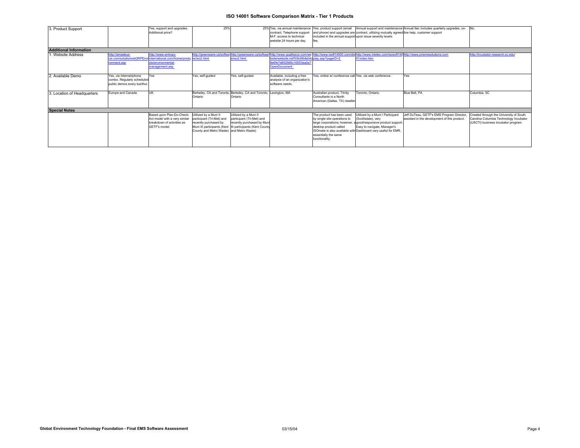| 3. Product Support            |                             | Yes, support and upgrades.                                           | 25%                                      |                                                                   | 25% Yes, via annual maintenance               |                                                                                                                   |                                                                                             | Yes, product support (email Annual support and maintenance Annual fee: includes quarterly upgrades, on- |                                         |
|-------------------------------|-----------------------------|----------------------------------------------------------------------|------------------------------------------|-------------------------------------------------------------------|-----------------------------------------------|-------------------------------------------------------------------------------------------------------------------|---------------------------------------------------------------------------------------------|---------------------------------------------------------------------------------------------------------|-----------------------------------------|
|                               |                             | Additional price?                                                    |                                          |                                                                   | contract. Telephone support                   |                                                                                                                   | and phone) and upgrades are contract, utilizing mutually agreed line help, customer support |                                                                                                         |                                         |
|                               |                             |                                                                      |                                          |                                                                   | M-F. access to technical                      | included in the annual support upon issue severity levels.                                                        |                                                                                             |                                                                                                         |                                         |
|                               |                             |                                                                      |                                          |                                                                   | website 24 hours per day.                     |                                                                                                                   |                                                                                             |                                                                                                         |                                         |
|                               |                             |                                                                      |                                          |                                                                   |                                               |                                                                                                                   |                                                                                             |                                                                                                         |                                         |
| <b>Additional Information</b> |                             |                                                                      |                                          |                                                                   |                                               |                                                                                                                   |                                                                                             |                                                                                                         |                                         |
| 1. Website Address            | ttp://amadeus-              | http://www.entropy-                                                  |                                          |                                                                   |                                               | http://greenware.ca/softwa.http://greenware.ca/softwar.http://www.gualitysys.com/wellhttp://www.isoft14000.com/di | shttp://www.intelex.com/isosoft140/http://www.prismesolutions.com                           |                                                                                                         | http://incubator.research.sc.edu/       |
|                               |                             | csi.com/solutions/eQRPEnvi international.com/home/produ_re/iso2.html |                                          | e/iso2.html                                                       | site/website.nsf/0/8c66deb4cplay.asp?pageID=2 |                                                                                                                   | 01index.htm                                                                                 |                                                                                                         |                                         |
|                               | ronment.asp                 | cts/environmental-                                                   |                                          |                                                                   | 9e6fe7d852568c10053ea0a?                      |                                                                                                                   |                                                                                             |                                                                                                         |                                         |
|                               |                             | management.asp                                                       |                                          |                                                                   | <b>OpenDocument</b>                           |                                                                                                                   |                                                                                             |                                                                                                         |                                         |
|                               |                             |                                                                      |                                          |                                                                   |                                               |                                                                                                                   |                                                                                             |                                                                                                         |                                         |
| 2. Available Demo             | Yes, via Internet/phone     | Yes                                                                  | Yes, self-quided                         | Yes, self-quided                                                  | Available, including a free                   | Yes, online w/ conference call Yes, via web conference.                                                           |                                                                                             | Yes                                                                                                     |                                         |
|                               | combo. Regularly scheduled  |                                                                      |                                          |                                                                   | analysis of an organization's                 |                                                                                                                   |                                                                                             |                                                                                                         |                                         |
|                               | public demos every tue/thur |                                                                      |                                          |                                                                   | software needs.                               |                                                                                                                   |                                                                                             |                                                                                                         |                                         |
|                               |                             |                                                                      |                                          |                                                                   |                                               |                                                                                                                   |                                                                                             |                                                                                                         |                                         |
| 3. Location of Headquarters   | Europe and Canada           | <b>UK</b>                                                            |                                          | Berkeley, CA and Toronto, Berkeley, CA and Toronto, Lexington, MA |                                               | Australian product, Trinity                                                                                       | Toronto, Ontario                                                                            | Blue Bell, PA                                                                                           | Columbia, SC                            |
|                               |                             |                                                                      | Ontario                                  | Ontario                                                           |                                               | Consultants is a North                                                                                            |                                                                                             |                                                                                                         |                                         |
|                               |                             |                                                                      |                                          |                                                                   |                                               | American (Dallas, TX) reseller                                                                                    |                                                                                             |                                                                                                         |                                         |
|                               |                             |                                                                      |                                          |                                                                   |                                               |                                                                                                                   |                                                                                             |                                                                                                         |                                         |
| <b>Special Notes</b>          |                             |                                                                      |                                          |                                                                   |                                               |                                                                                                                   |                                                                                             |                                                                                                         |                                         |
|                               |                             | Based upon Plan-Do-Check-                                            | Utilized by a Muni II                    | Utilized by a Muni II                                             |                                               | The product has been used                                                                                         | Utilized by a Muni I Participant                                                            | Jeff DuTeau, GETF's EMS Program Director,                                                               | Created through the University of South |
|                               |                             | Act model with a very similar                                        | participant (Tri-Met) and                | participant (Tri-Met) and                                         |                                               | by single site operations to                                                                                      | (Scottsdale), very                                                                          | assisted in the development of this product.                                                            | Carolina Columbia Technology Incubator  |
|                               |                             | breakdown of activities as                                           | recently purchased by                    | recently purchased by Muni                                        |                                               | large corporations; however                                                                                       | a good/responsive product support.                                                          |                                                                                                         | (USCTI) business incubator program.     |
|                               |                             | GETF's model.                                                        |                                          | Muni III participants (Kent  III participants (Kent County        |                                               | desktop product called                                                                                            | Easy to navigate, Manager's                                                                 |                                                                                                         |                                         |
|                               |                             |                                                                      | County and Metro Waste) and Metro Waste) |                                                                   |                                               |                                                                                                                   | ISOmate is also available with Dashboard very useful for EMR.                               |                                                                                                         |                                         |
|                               |                             |                                                                      |                                          |                                                                   |                                               | essentially the same                                                                                              |                                                                                             |                                                                                                         |                                         |
|                               |                             |                                                                      |                                          |                                                                   |                                               | functionality.                                                                                                    |                                                                                             |                                                                                                         |                                         |
|                               |                             |                                                                      |                                          |                                                                   |                                               |                                                                                                                   |                                                                                             |                                                                                                         |                                         |
|                               |                             |                                                                      |                                          |                                                                   |                                               |                                                                                                                   |                                                                                             |                                                                                                         |                                         |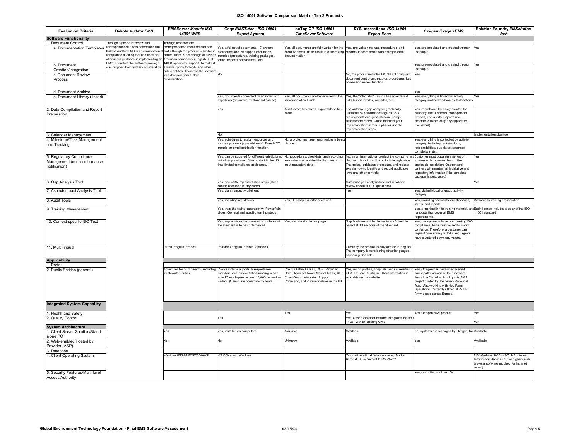| <b>Evaluation Criteria</b>                                                | <b>Dakota Auditor EMS</b>                                                                                                                                          | <b>EMAServer Module ISO</b>                                                                                                                               | Gage EMSTutor - ISO 14001                                                                                                                                                           | IsoTop GP ISO 14001                                                                                                                                         | ISYS International ISO 14001                                                                                                                                                                                                                                                                                       | Oxegen Oxegen EMS                                                                                                                                                                                                                 | <b>Solution Foundry EMSolution</b>                                                                                                |
|---------------------------------------------------------------------------|--------------------------------------------------------------------------------------------------------------------------------------------------------------------|-----------------------------------------------------------------------------------------------------------------------------------------------------------|-------------------------------------------------------------------------------------------------------------------------------------------------------------------------------------|-------------------------------------------------------------------------------------------------------------------------------------------------------------|--------------------------------------------------------------------------------------------------------------------------------------------------------------------------------------------------------------------------------------------------------------------------------------------------------------------|-----------------------------------------------------------------------------------------------------------------------------------------------------------------------------------------------------------------------------------|-----------------------------------------------------------------------------------------------------------------------------------|
|                                                                           |                                                                                                                                                                    | 14001 WES                                                                                                                                                 | <b>Expert System</b>                                                                                                                                                                | <b>TimeSaver Software</b>                                                                                                                                   | <b>Expert-Ease</b>                                                                                                                                                                                                                                                                                                 |                                                                                                                                                                                                                                   | Web                                                                                                                               |
| <b>Software Functionality</b><br>Document Control                         | Through a phone interview and                                                                                                                                      | Through research and                                                                                                                                      |                                                                                                                                                                                     |                                                                                                                                                             |                                                                                                                                                                                                                                                                                                                    |                                                                                                                                                                                                                                   |                                                                                                                                   |
| a. Documentation Templates                                                | correspondence it was determined that<br>Dakota Auditor EMS is an environmenta<br>compliance auditing tool and does not<br>offer users guidance in implementing an | correspondence it was determined<br>that although the product is similar in<br>nature, there is not enough of a North<br>American component (English, ISO | res, a full set of documents, 17 system<br>procedures and 66 support documents,<br>ncluded (procedures, training packages,<br>orms, aspects spreadsheet, etc.                       | client w/ checklists to assist in customizing records. Record forms with example data.<br>documentation                                                     | Yes, all documents are fully written for the Yes, pre-written manual, procedures, and                                                                                                                                                                                                                              | Yes, pre-populated and created through<br>user input                                                                                                                                                                              | Yes                                                                                                                               |
| b. Document<br>Creation/Integration                                       | EMS. Therefore the software package<br>was dropped from further consideration                                                                                      | 4001 specificity, support) to make it<br>viable option for Ports and other                                                                                |                                                                                                                                                                                     |                                                                                                                                                             |                                                                                                                                                                                                                                                                                                                    | Yes, pre-populated and created through Yes<br>user input                                                                                                                                                                          |                                                                                                                                   |
| c. Document Review                                                        |                                                                                                                                                                    | public entities. Therefore the software<br>was dropped from further                                                                                       | No                                                                                                                                                                                  |                                                                                                                                                             | No, the product includes ISO 14001 compliant Yes                                                                                                                                                                                                                                                                   |                                                                                                                                                                                                                                   |                                                                                                                                   |
| Process                                                                   |                                                                                                                                                                    | consideration.                                                                                                                                            |                                                                                                                                                                                     |                                                                                                                                                             | document control and records procedures, but<br>no revision/review function.                                                                                                                                                                                                                                       |                                                                                                                                                                                                                                   |                                                                                                                                   |
| d. Document Archive                                                       |                                                                                                                                                                    |                                                                                                                                                           |                                                                                                                                                                                     |                                                                                                                                                             |                                                                                                                                                                                                                                                                                                                    | Yes                                                                                                                                                                                                                               |                                                                                                                                   |
| e. Document Library (linked)                                              |                                                                                                                                                                    |                                                                                                                                                           | Yes, documents connected by an index with<br>yperlinks (organized by standard clause)                                                                                               | Yes, all documents are hyperlinked to the<br>Implementation Guide                                                                                           | Yes, the "integrator" version has an external<br>inks button for files, websites, etc.                                                                                                                                                                                                                             | Yes, everything is linked by activity<br>ategory and brokendown by task/action                                                                                                                                                    | Yes                                                                                                                               |
| . Data Compilation and Report<br>Preparation                              |                                                                                                                                                                    |                                                                                                                                                           | res                                                                                                                                                                                 | Audit record templates, exportable to MS<br>Word                                                                                                            | The automatic gap analyzer graphically<br>illustrates % performance against ISO<br>requirements and generates an 8-page<br>assessment report. Guide monitors your<br>implementation across 3 phases and 24<br>implementation steps.                                                                                | Yes, reports can be easily created for<br>quarterly status checks, management<br>reviews, and audits. Reports are<br>exportable to basically any application<br>(i.e., excel)                                                     |                                                                                                                                   |
| . Calendar Management                                                     |                                                                                                                                                                    |                                                                                                                                                           | No                                                                                                                                                                                  |                                                                                                                                                             |                                                                                                                                                                                                                                                                                                                    |                                                                                                                                                                                                                                   | Implementation plan tool                                                                                                          |
| 4. Milestone/Task Management<br>and Tracking                              |                                                                                                                                                                    |                                                                                                                                                           | Yes, schedules to assign resources and<br>nonitor progress (spreadsheets). Does NOT<br>nclude an email notification function.                                                       | No, a project management module is being<br>planned                                                                                                         |                                                                                                                                                                                                                                                                                                                    | Yes, everything is controlled by activity<br>category, including tasks/actions,<br>responsibilities, due dates, progress<br>completion, etc.                                                                                      |                                                                                                                                   |
| 5. Regulatory Compliance<br>Management (non-conformance<br>notification)  |                                                                                                                                                                    |                                                                                                                                                           | Yes, can be supplied for different jurisdictions,<br>not widespread use of the product in the US<br>thus limited compliance assistance.                                             | templates are provided for the client to<br>input regulatory data                                                                                           | No, procedures, checklists, and recording No, as an international product the company has Customer must populate a series of<br>decided it is not practical to include legislation.<br>The quide, legislation procedure, and register<br>explain how to identify and record applicable<br>laws and other controls. | screens which creates links to the<br>applicable legislation (Oxegen and<br>partners will maintain all legislative and<br>regulatory information if the complete<br>package is purchased)                                         | Yes                                                                                                                               |
| 6. Gap Analysis Tool                                                      |                                                                                                                                                                    |                                                                                                                                                           | Yes, one of 35 implementation steps (steps<br>can be accessed in any order)                                                                                                         |                                                                                                                                                             | Automatic gap analysis tool and initial env.<br>review checklist (199 questions)                                                                                                                                                                                                                                   |                                                                                                                                                                                                                                   | Yes                                                                                                                               |
| 7. Aspect/Impact Analysis Tool                                            |                                                                                                                                                                    |                                                                                                                                                           | res, via an aspect worksheet.                                                                                                                                                       |                                                                                                                                                             | Yes                                                                                                                                                                                                                                                                                                                | Yes, via individual or group activity<br>category                                                                                                                                                                                 |                                                                                                                                   |
| 8. Audit Tools                                                            |                                                                                                                                                                    |                                                                                                                                                           | Yes, including registration                                                                                                                                                         | es, 80 sample auditor questions                                                                                                                             |                                                                                                                                                                                                                                                                                                                    | Yes, including checklists, questionaires,<br>status, and reports                                                                                                                                                                  | Awareness training presentation                                                                                                   |
| 9. Training Management                                                    |                                                                                                                                                                    |                                                                                                                                                           | Yes, train-the-trainer approach w/ PowerPoint<br>slides. General and specific training steps.                                                                                       |                                                                                                                                                             |                                                                                                                                                                                                                                                                                                                    | Yes, a training link to training material, and Each license includes a copy of the ISO<br>handouts that cover all EMS<br>requirements                                                                                             | 14001 standard                                                                                                                    |
| 10. Context-specific ISO Text                                             |                                                                                                                                                                    |                                                                                                                                                           | Yes, explanations on how each subclause of<br>the standard is to be implemented                                                                                                     | Yes, each in simple language                                                                                                                                | Gap Analyzer and Implementation Schedule<br>based all 13 sections of the Standard.                                                                                                                                                                                                                                 | Yes, the system is based on meeting ISO<br>compliance, but is customized to avoid<br>confusion. Therefore, a customer can<br>request consistency w/ ISO language or<br>have a watered down equivalent.                            |                                                                                                                                   |
| 11. Multi-lingual                                                         |                                                                                                                                                                    | Dutch, English, French                                                                                                                                    | Possible (English, French, Spanish)                                                                                                                                                 |                                                                                                                                                             | Currently the product is only offered in English.<br>The company is considering other languages,<br>especially Spanish                                                                                                                                                                                             |                                                                                                                                                                                                                                   |                                                                                                                                   |
| <b>Applicability</b>                                                      |                                                                                                                                                                    |                                                                                                                                                           |                                                                                                                                                                                     |                                                                                                                                                             |                                                                                                                                                                                                                                                                                                                    |                                                                                                                                                                                                                                   |                                                                                                                                   |
| . Ports<br>2. Public Entities (general)                                   |                                                                                                                                                                    | Advertises for public sector, including<br>vastewater utilities                                                                                           | Clients include airports, transportation<br>roviders, and public utilities ranging in size<br>rom 75 employees to over 10,000, as well as<br>Federal (Canadian) government clients. | City of Olathe Kansas, DOE, Michigan<br>Univ., Town of Flower Mound Texas, US<br>Coast Guard Integrated Support<br>Command, and 7 municipalities in the UK. | 'es, municipalities, hospitals, and universities in Yes, Oxegen has developed a small<br>JSA, UK, and Australia. Client information is<br>vailable on the website                                                                                                                                                  | municipality version of their software<br>through a Canadian Municipality EMS<br>project funded by the Green Municipal<br>Fund. Also working with Hog Farm<br>Operations. Currently utlized at 22 US<br>Army bases across Europe. |                                                                                                                                   |
| <b>Integrated System Capability</b>                                       |                                                                                                                                                                    |                                                                                                                                                           |                                                                                                                                                                                     |                                                                                                                                                             |                                                                                                                                                                                                                                                                                                                    |                                                                                                                                                                                                                                   |                                                                                                                                   |
| . Health and Safety                                                       |                                                                                                                                                                    |                                                                                                                                                           |                                                                                                                                                                                     | Yes                                                                                                                                                         | Yes                                                                                                                                                                                                                                                                                                                | Yes. Oxegen H&S product                                                                                                                                                                                                           | Yes                                                                                                                               |
| . Quality Control                                                         |                                                                                                                                                                    |                                                                                                                                                           | res                                                                                                                                                                                 |                                                                                                                                                             | Yes, QMS Converter features integrates the ISO<br>14001 with an existing QMS                                                                                                                                                                                                                                       |                                                                                                                                                                                                                                   | Yes                                                                                                                               |
| <b>System Architecture</b>                                                |                                                                                                                                                                    |                                                                                                                                                           |                                                                                                                                                                                     |                                                                                                                                                             |                                                                                                                                                                                                                                                                                                                    |                                                                                                                                                                                                                                   |                                                                                                                                   |
| . Client Server Solution/Stand-<br>alone PC                               |                                                                                                                                                                    | Yes                                                                                                                                                       | 'es, installed on computers                                                                                                                                                         | Available                                                                                                                                                   | Available                                                                                                                                                                                                                                                                                                          | No, systems are managed by Oxegen, Inc Available                                                                                                                                                                                  |                                                                                                                                   |
| . Web-enabled/Hosted by<br>Provider (ASP)                                 |                                                                                                                                                                    | No                                                                                                                                                        | No                                                                                                                                                                                  | Unknown                                                                                                                                                     | Available                                                                                                                                                                                                                                                                                                          | Yes                                                                                                                                                                                                                               | Available                                                                                                                         |
| Database<br>. Client Operating System<br>5. Security Features/Multi-level |                                                                                                                                                                    | Windows 95/98/ME/NT/2000/XP                                                                                                                               | MS Office and Windows                                                                                                                                                               |                                                                                                                                                             | Compatible with all Windows using Adobe<br>Acrobat 5.0 w/ "export to MS Word"                                                                                                                                                                                                                                      | Yes, controlled via User IDs                                                                                                                                                                                                      | MS Windows 2000 or NT. MS Internet<br>Information Services 4.0 or higher (Web<br>browser software required for Intranet<br>users) |
| Access/Authority                                                          |                                                                                                                                                                    |                                                                                                                                                           |                                                                                                                                                                                     |                                                                                                                                                             |                                                                                                                                                                                                                                                                                                                    |                                                                                                                                                                                                                                   |                                                                                                                                   |